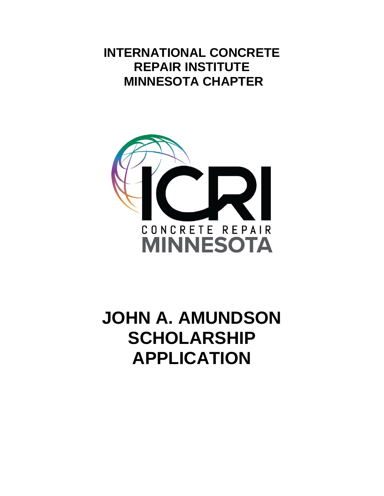# **INTERNATIONAL CONCRETE REPAIR INSTITUTE MINNESOTA CHAPTER**



# **JOHN A. AMUNDSON SCHOLARSHIP APPLICATION**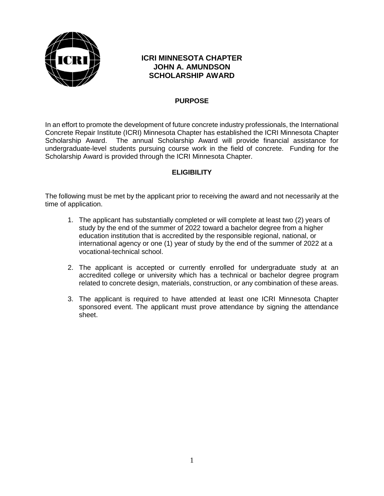

#### **ICRI MINNESOTA CHAPTER JOHN A. AMUNDSON SCHOLARSHIP AWARD**

#### **PURPOSE**

In an effort to promote the development of future concrete industry professionals, the International Concrete Repair Institute (ICRI) Minnesota Chapter has established the ICRI Minnesota Chapter Scholarship Award. The annual Scholarship Award will provide financial assistance for undergraduate-level students pursuing course work in the field of concrete. Funding for the Scholarship Award is provided through the ICRI Minnesota Chapter.

#### **ELIGIBILITY**

The following must be met by the applicant prior to receiving the award and not necessarily at the time of application.

- 1. The applicant has substantially completed or will complete at least two (2) years of study by the end of the summer of 2022 toward a bachelor degree from a higher education institution that is accredited by the responsible regional, national, or international agency or one (1) year of study by the end of the summer of 2022 at a vocational-technical school.
- 2. The applicant is accepted or currently enrolled for undergraduate study at an accredited college or university which has a technical or bachelor degree program related to concrete design, materials, construction, or any combination of these areas.
- 3. The applicant is required to have attended at least one ICRI Minnesota Chapter sponsored event. The applicant must prove attendance by signing the attendance sheet.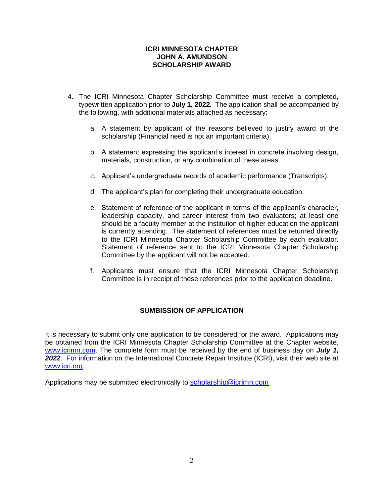#### **ICRI MINNESOTA CHAPTER JOHN A. AMUNDSON SCHOLARSHIP AWARD**

- 4. The ICRI Minnesota Chapter Scholarship Committee must receive a completed, typewritten application prior to **July 1, 2022***.* The application shall be accompanied by the following, with additional materials attached as necessary:
	- a. A statement by applicant of the reasons believed to justify award of the scholarship (Financial need is not an important criteria).
	- b. A statement expressing the applicant's interest in concrete involving design, materials, construction, or any combination of these areas.
	- c. Applicant's undergraduate records of academic performance (Transcripts).
	- d. The applicant's plan for completing their undergraduate education.
	- e. Statement of reference of the applicant in terms of the applicant's character, leadership capacity, and career interest from two evaluators; at least one should be a faculty member at the institution of higher education the applicant is currently attending. The statement of references must be returned directly to the ICRI Minnesota Chapter Scholarship Committee by each evaluator. Statement of reference sent to the ICRI Minnesota Chapter Scholarship Committee by the applicant will not be accepted.
	- f. Applicants must ensure that the ICRI Minnesota Chapter Scholarship Committee is in receipt of these references prior to the application deadline.

#### **SUMBISSION OF APPLICATION**

It is necessary to submit only one application to be considered for the award. Applications may be obtained from the ICRI Minnesota Chapter Scholarship Committee at the Chapter website, [www.icrimn.com.](http://www.icrimn.com/) The complete form must be received by the end of business day on *July 1,*  2022. For information on the International Concrete Repair Institute (ICRI), visit their web site at [www.icri.org.](http://www.icri.org/)

Applications may be submitted electronically to [scholarship@icrimn.com](mailto:scholarship@icrimn.com)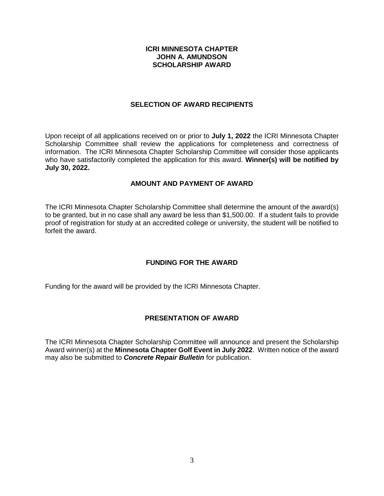#### **ICRI MINNESOTA CHAPTER JOHN A. AMUNDSON SCHOLARSHIP AWARD**

#### **SELECTION OF AWARD RECIPIENTS**

Upon receipt of all applications received on or prior to **July 1, 2022** the ICRI Minnesota Chapter Scholarship Committee shall review the applications for completeness and correctness of information. The ICRI Minnesota Chapter Scholarship Committee will consider those applicants who have satisfactorily completed the application for this award. **Winner(s) will be notified by July 30, 2022.**

#### **AMOUNT AND PAYMENT OF AWARD**

The ICRI Minnesota Chapter Scholarship Committee shall determine the amount of the award(s) to be granted, but in no case shall any award be less than \$1,500.00. If a student fails to provide proof of registration for study at an accredited college or university, the student will be notified to forfeit the award.

#### **FUNDING FOR THE AWARD**

Funding for the award will be provided by the ICRI Minnesota Chapter.

#### **PRESENTATION OF AWARD**

The ICRI Minnesota Chapter Scholarship Committee will announce and present the Scholarship Award winner(s) at the **Minnesota Chapter Golf Event in July 2022**. Written notice of the award may also be submitted to *Concrete Repair Bulletin* for publication.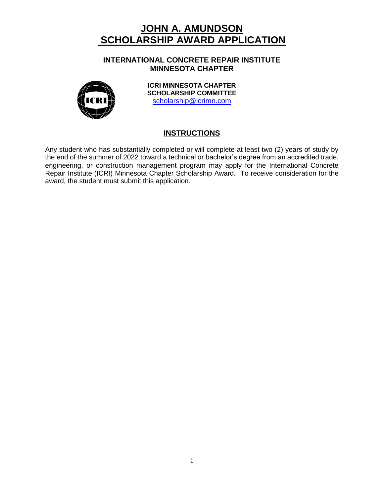**INTERNATIONAL CONCRETE REPAIR INSTITUTE MINNESOTA CHAPTER**



**ICRI MINNESOTA CHAPTER SCHOLARSHIP COMMITTEE** [scholarship@icrimn.com](mailto:scholarship@icrimn.com)

#### **INSTRUCTIONS**

Any student who has substantially completed or will complete at least two (2) years of study by the end of the summer of 2022 toward a technical or bachelor's degree from an accredited trade, engineering, or construction management program may apply for the International Concrete Repair Institute (ICRI) Minnesota Chapter Scholarship Award. To receive consideration for the award, the student must submit this application.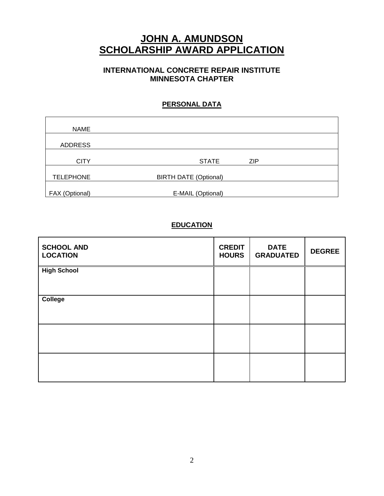#### **INTERNATIONAL CONCRETE REPAIR INSTITUTE MINNESOTA CHAPTER**

#### **PERSONAL DATA**

| <b>NAME</b>      |                              |            |  |
|------------------|------------------------------|------------|--|
|                  |                              |            |  |
| <b>ADDRESS</b>   |                              |            |  |
|                  |                              |            |  |
| <b>CITY</b>      | <b>STATE</b>                 | <b>ZIP</b> |  |
|                  |                              |            |  |
| <b>TELEPHONE</b> | <b>BIRTH DATE (Optional)</b> |            |  |
|                  |                              |            |  |
| FAX (Optional)   | E-MAIL (Optional)            |            |  |

#### **EDUCATION**

| <b>SCHOOL AND</b><br><b>LOCATION</b> | <b>CREDIT</b><br><b>HOURS</b> | <b>DATE</b><br><b>GRADUATED</b> | <b>DEGREE</b> |
|--------------------------------------|-------------------------------|---------------------------------|---------------|
| <b>High School</b>                   |                               |                                 |               |
| College                              |                               |                                 |               |
|                                      |                               |                                 |               |
|                                      |                               |                                 |               |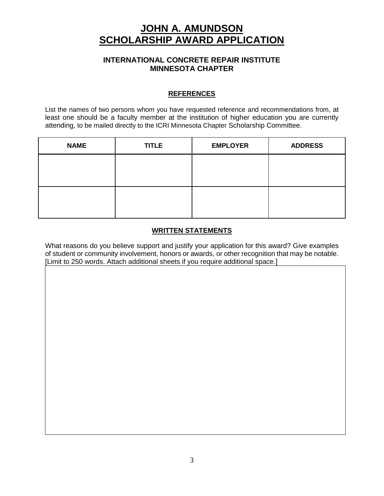#### **INTERNATIONAL CONCRETE REPAIR INSTITUTE MINNESOTA CHAPTER**

#### **REFERENCES**

List the names of two persons whom you have requested reference and recommendations from, at least one should be a faculty member at the institution of higher education you are currently attending, to be mailed directly to the ICRI Minnesota Chapter Scholarship Committee.

| <b>NAME</b> | <b>TITLE</b> | <b>EMPLOYER</b> | <b>ADDRESS</b> |
|-------------|--------------|-----------------|----------------|
|             |              |                 |                |
|             |              |                 |                |
|             |              |                 |                |
|             |              |                 |                |

#### **WRITTEN STATEMENTS**

What reasons do you believe support and justify your application for this award? Give examples of student or community involvement, honors or awards, or other recognition that may be notable. [Limit to 250 words. Attach additional sheets if you require additional space.]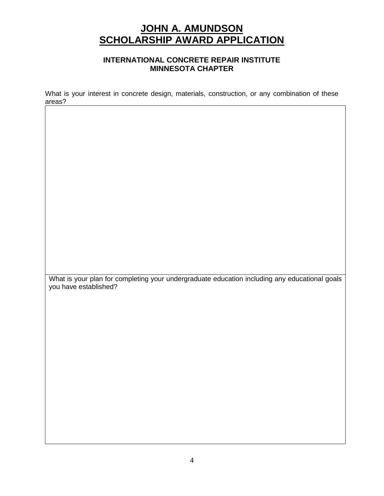#### **INTERNATIONAL CONCRETE REPAIR INSTITUTE MINNESOTA CHAPTER**

What is your interest in concrete design, materials, construction, or any combination of these areas?

What is your plan for completing your undergraduate education including any educational goals you have established?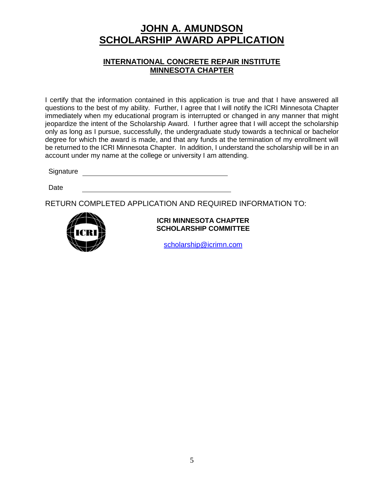#### **INTERNATIONAL CONCRETE REPAIR INSTITUTE MINNESOTA CHAPTER**

I certify that the information contained in this application is true and that I have answered all questions to the best of my ability. Further, I agree that I will notify the ICRI Minnesota Chapter immediately when my educational program is interrupted or changed in any manner that might jeopardize the intent of the Scholarship Award. I further agree that I will accept the scholarship only as long as I pursue, successfully, the undergraduate study towards a technical or bachelor degree for which the award is made, and that any funds at the termination of my enrollment will be returned to the ICRI Minnesota Chapter. In addition, I understand the scholarship will be in an account under my name at the college or university I am attending.

Signature **Signature Signature Signature Signature Signature Signature Signature Signature Signature Signature Signature Signature Signature Signature Signature Signature Signature Signatu** 

Date

RETURN COMPLETED APPLICATION AND REQUIRED INFORMATION TO:



#### **ICRI MINNESOTA CHAPTER SCHOLARSHIP COMMITTEE**

[scholarship@icrimn.com](mailto:scholarship@icrimn.com)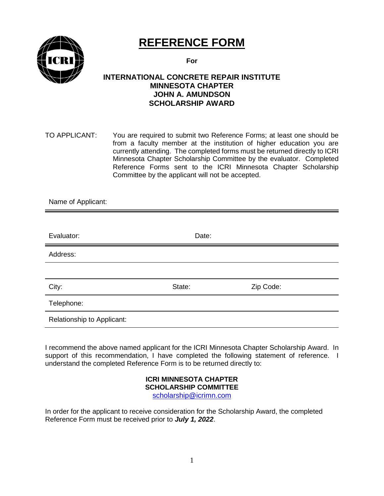

## **REFERENCE FORM**

**For**

#### **INTERNATIONAL CONCRETE REPAIR INSTITUTE MINNESOTA CHAPTER JOHN A. AMUNDSON SCHOLARSHIP AWARD**

TO APPLICANT: You are required to submit two Reference Forms; at least one should be from a faculty member at the institution of higher education you are currently attending. The completed forms must be returned directly to ICRI Minnesota Chapter Scholarship Committee by the evaluator. Completed Reference Forms sent to the ICRI Minnesota Chapter Scholarship Committee by the applicant will not be accepted.

| Name of Applicant:         |        |           |
|----------------------------|--------|-----------|
|                            |        |           |
| Evaluator:                 | Date:  |           |
| Address:                   |        |           |
|                            |        |           |
| City:                      | State: | Zip Code: |
| Telephone:                 |        |           |
| Relationship to Applicant: |        |           |

I recommend the above named applicant for the ICRI Minnesota Chapter Scholarship Award. In support of this recommendation, I have completed the following statement of reference. I understand the completed Reference Form is to be returned directly to:

#### **ICRI MINNESOTA CHAPTER SCHOLARSHIP COMMITTEE** [scholarship@icrimn.com](mailto:scholarship@icrimn.com)

In order for the applicant to receive consideration for the Scholarship Award, the completed Reference Form must be received prior to *July 1, 2022*.